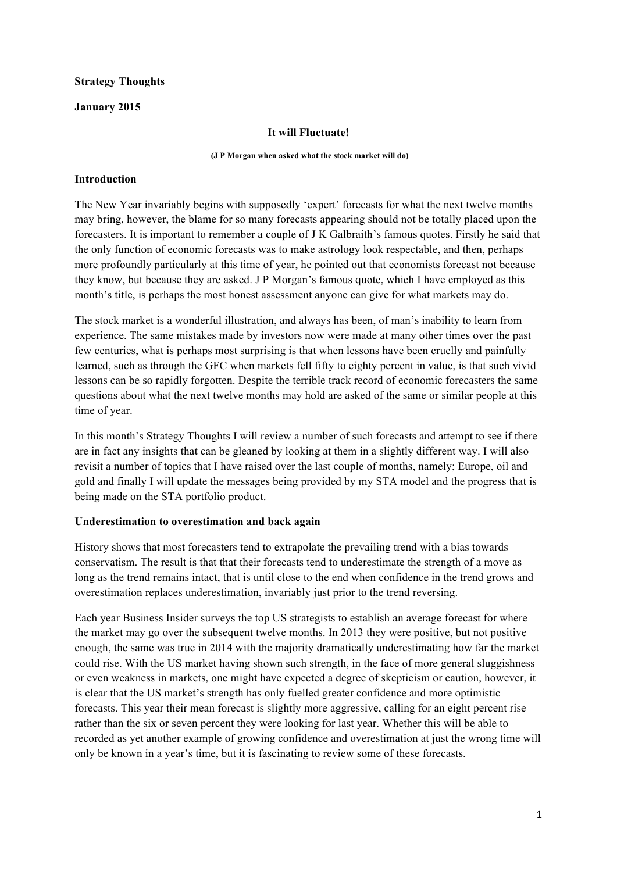### **Strategy Thoughts**

### **January 2015**

### **It will Fluctuate!**

### **(J P Morgan when asked what the stock market will do)**

### **Introduction**

The New Year invariably begins with supposedly 'expert' forecasts for what the next twelve months may bring, however, the blame for so many forecasts appearing should not be totally placed upon the forecasters. It is important to remember a couple of J K Galbraith's famous quotes. Firstly he said that the only function of economic forecasts was to make astrology look respectable, and then, perhaps more profoundly particularly at this time of year, he pointed out that economists forecast not because they know, but because they are asked. J P Morgan's famous quote, which I have employed as this month's title, is perhaps the most honest assessment anyone can give for what markets may do.

The stock market is a wonderful illustration, and always has been, of man's inability to learn from experience. The same mistakes made by investors now were made at many other times over the past few centuries, what is perhaps most surprising is that when lessons have been cruelly and painfully learned, such as through the GFC when markets fell fifty to eighty percent in value, is that such vivid lessons can be so rapidly forgotten. Despite the terrible track record of economic forecasters the same questions about what the next twelve months may hold are asked of the same or similar people at this time of year.

In this month's Strategy Thoughts I will review a number of such forecasts and attempt to see if there are in fact any insights that can be gleaned by looking at them in a slightly different way. I will also revisit a number of topics that I have raised over the last couple of months, namely; Europe, oil and gold and finally I will update the messages being provided by my STA model and the progress that is being made on the STA portfolio product.

### **Underestimation to overestimation and back again**

History shows that most forecasters tend to extrapolate the prevailing trend with a bias towards conservatism. The result is that that their forecasts tend to underestimate the strength of a move as long as the trend remains intact, that is until close to the end when confidence in the trend grows and overestimation replaces underestimation, invariably just prior to the trend reversing.

Each year Business Insider surveys the top US strategists to establish an average forecast for where the market may go over the subsequent twelve months. In 2013 they were positive, but not positive enough, the same was true in 2014 with the majority dramatically underestimating how far the market could rise. With the US market having shown such strength, in the face of more general sluggishness or even weakness in markets, one might have expected a degree of skepticism or caution, however, it is clear that the US market's strength has only fuelled greater confidence and more optimistic forecasts. This year their mean forecast is slightly more aggressive, calling for an eight percent rise rather than the six or seven percent they were looking for last year. Whether this will be able to recorded as yet another example of growing confidence and overestimation at just the wrong time will only be known in a year's time, but it is fascinating to review some of these forecasts.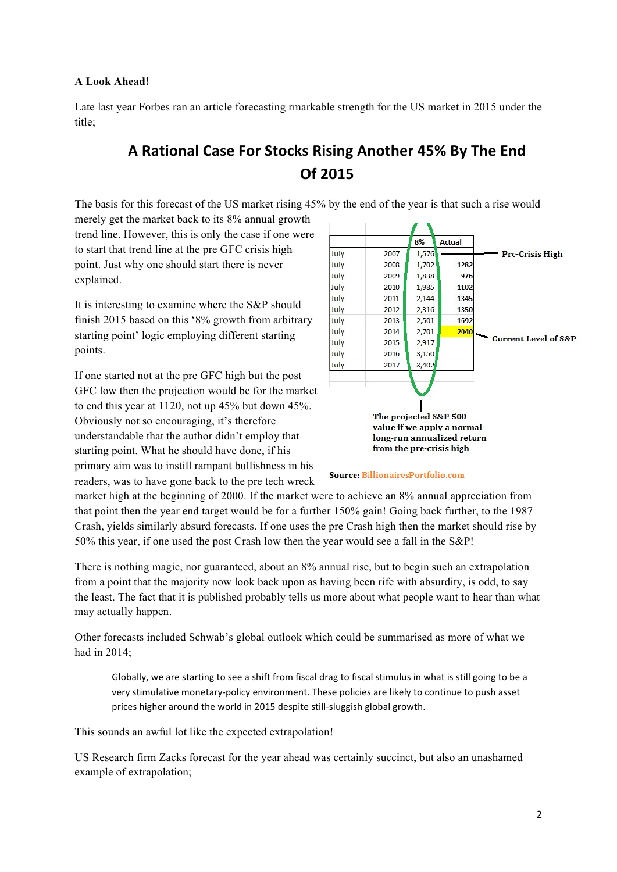### **A Look Ahead!**

Late last year Forbes ran an article forecasting rmarkable strength for the US market in 2015 under the title;

# A Rational Case For Stocks Rising Another 45% By The End **Of 2015**

The basis for this forecast of the US market rising 45% by the end of the year is that such a rise would

merely get the market back to its 8% annual growth trend line. However, this is only the case if one were to start that trend line at the pre GFC crisis high point. Just why one should start there is never explained.

It is interesting to examine where the S&P should finish 2015 based on this '8% growth from arbitrary starting point' logic employing different starting points.

If one started not at the pre GFC high but the post GFC low then the projection would be for the market to end this year at 1120, not up 45% but down 45%. Obviously not so encouraging, it's therefore understandable that the author didn't employ that starting point. What he should have done, if his primary aim was to instill rampant bullishness in his readers, was to have gone back to the pre tech wreck



#### **Source: BillionairesPortfolio.com**

market high at the beginning of 2000. If the market were to achieve an 8% annual appreciation from that point then the year end target would be for a further 150% gain! Going back further, to the 1987 Crash, yields similarly absurd forecasts. If one uses the pre Crash high then the market should rise by 50% this year, if one used the post Crash low then the year would see a fall in the S&P!

There is nothing magic, nor guaranteed, about an 8% annual rise, but to begin such an extrapolation from a point that the majority now look back upon as having been rife with absurdity, is odd, to say the least. The fact that it is published probably tells us more about what people want to hear than what may actually happen.

Other forecasts included Schwab's global outlook which could be summarised as more of what we had in 2014;

Globally, we are starting to see a shift from fiscal drag to fiscal stimulus in what is still going to be a very stimulative monetary-policy environment. These policies are likely to continue to push asset prices higher around the world in 2015 despite still-sluggish global growth.

This sounds an awful lot like the expected extrapolation!

US Research firm Zacks forecast for the year ahead was certainly succinct, but also an unashamed example of extrapolation;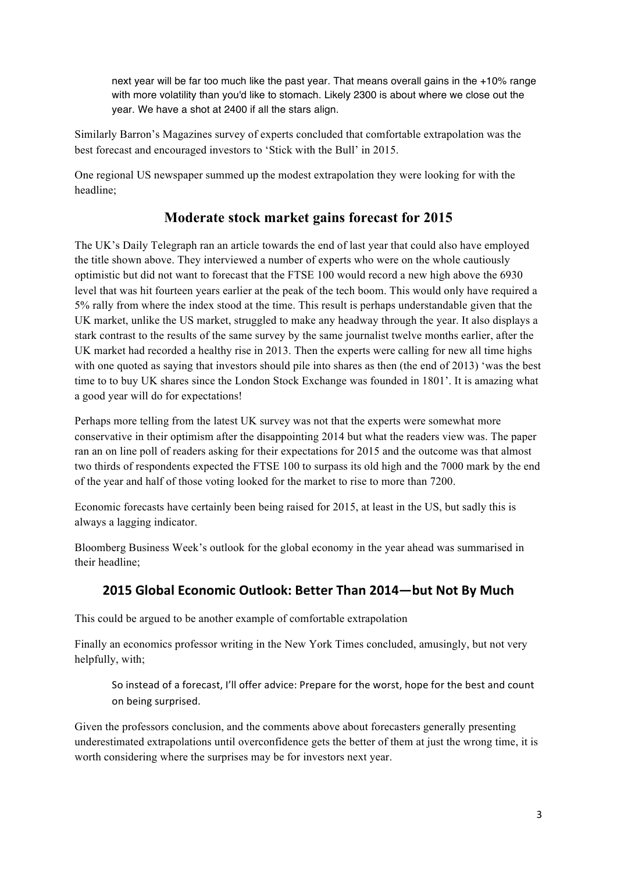next year will be far too much like the past year. That means overall gains in the +10% range with more volatility than you'd like to stomach. Likely 2300 is about where we close out the year. We have a shot at 2400 if all the stars align.

Similarly Barron's Magazines survey of experts concluded that comfortable extrapolation was the best forecast and encouraged investors to 'Stick with the Bull' in 2015.

One regional US newspaper summed up the modest extrapolation they were looking for with the headline;

# **Moderate stock market gains forecast for 2015**

The UK's Daily Telegraph ran an article towards the end of last year that could also have employed the title shown above. They interviewed a number of experts who were on the whole cautiously optimistic but did not want to forecast that the FTSE 100 would record a new high above the 6930 level that was hit fourteen years earlier at the peak of the tech boom. This would only have required a 5% rally from where the index stood at the time. This result is perhaps understandable given that the UK market, unlike the US market, struggled to make any headway through the year. It also displays a stark contrast to the results of the same survey by the same journalist twelve months earlier, after the UK market had recorded a healthy rise in 2013. Then the experts were calling for new all time highs with one quoted as saying that investors should pile into shares as then (the end of 2013) 'was the best time to to buy UK shares since the London Stock Exchange was founded in 1801'. It is amazing what a good year will do for expectations!

Perhaps more telling from the latest UK survey was not that the experts were somewhat more conservative in their optimism after the disappointing 2014 but what the readers view was. The paper ran an on line poll of readers asking for their expectations for 2015 and the outcome was that almost two thirds of respondents expected the FTSE 100 to surpass its old high and the 7000 mark by the end of the year and half of those voting looked for the market to rise to more than 7200.

Economic forecasts have certainly been being raised for 2015, at least in the US, but sadly this is always a lagging indicator.

Bloomberg Business Week's outlook for the global economy in the year ahead was summarised in their headline;

# 2015 Global Economic Outlook: Better Than 2014—but Not By Much

This could be argued to be another example of comfortable extrapolation

Finally an economics professor writing in the New York Times concluded, amusingly, but not very helpfully, with;

So instead of a forecast, I'll offer advice: Prepare for the worst, hope for the best and count on being surprised.

Given the professors conclusion, and the comments above about forecasters generally presenting underestimated extrapolations until overconfidence gets the better of them at just the wrong time, it is worth considering where the surprises may be for investors next year.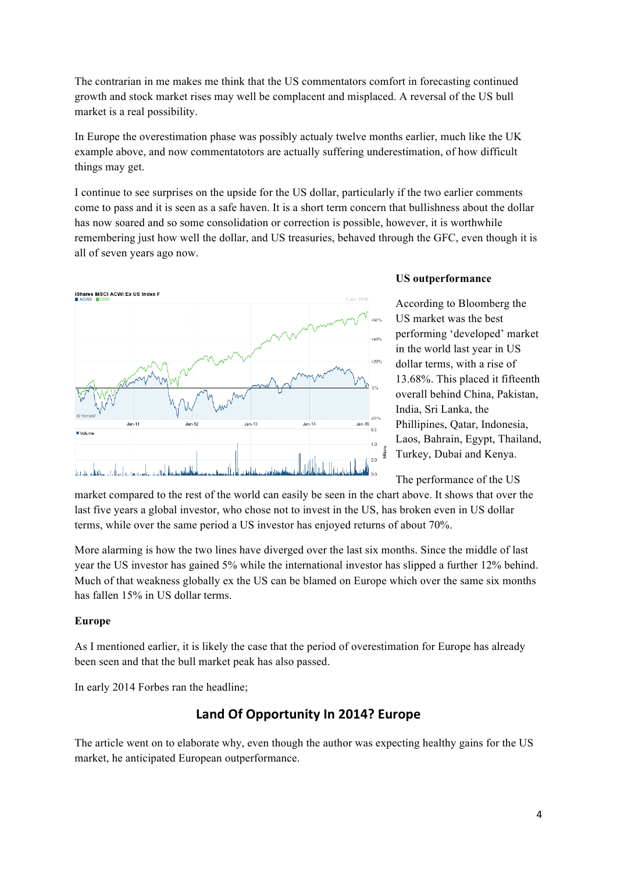The contrarian in me makes me think that the US commentators comfort in forecasting continued growth and stock market rises may well be complacent and misplaced. A reversal of the US bull market is a real possibility.

In Europe the overestimation phase was possibly actualy twelve months earlier, much like the UK example above, and now commentatotors are actually suffering underestimation, of how difficult things may get.

I continue to see surprises on the upside for the US dollar, particularly if the two earlier comments come to pass and it is seen as a safe haven. It is a short term concern that bullishness about the dollar has now soared and so some consolidation or correction is possible, however, it is worthwhile remembering just how well the dollar, and US treasuries, behaved through the GFC, even though it is all of seven years ago now.



### **US outperformance**

According to Bloomberg the US market was the best performing 'developed' market in the world last year in US dollar terms, with a rise of 13.68%. This placed it fifteenth overall behind China, Pakistan, India, Sri Lanka, the Phillipines, Qatar, Indonesia, Laos, Bahrain, Egypt, Thailand, Turkey, Dubai and Kenya.

The performance of the US

market compared to the rest of the world can easily be seen in the chart above. It shows that over the last five years a global investor, who chose not to invest in the US, has broken even in US dollar terms, while over the same period a US investor has enjoyed returns of about 70%.

More alarming is how the two lines have diverged over the last six months. Since the middle of last year the US investor has gained 5% while the international investor has slipped a further 12% behind. Much of that weakness globally ex the US can be blamed on Europe which over the same six months has fallen 15% in US dollar terms.

### **Europe**

As I mentioned earlier, it is likely the case that the period of overestimation for Europe has already been seen and that the bull market peak has also passed.

In early 2014 Forbes ran the headline;

# **Land Of Opportunity In 2014? Europe**

The article went on to elaborate why, even though the author was expecting healthy gains for the US market, he anticipated European outperformance.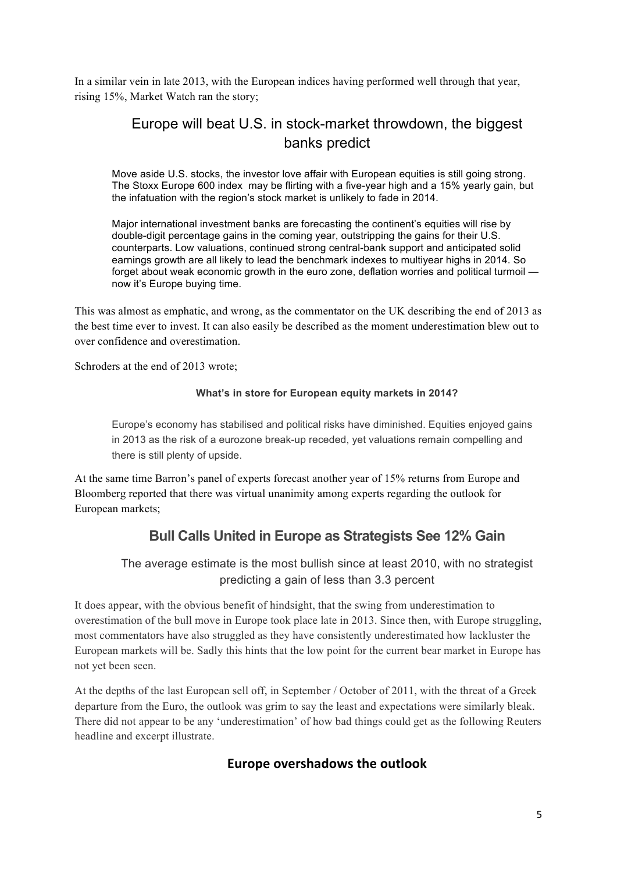In a similar vein in late 2013, with the European indices having performed well through that year, rising 15%, Market Watch ran the story;

# Europe will beat U.S. in stock-market throwdown, the biggest banks predict

Move aside U.S. stocks, the investor love affair with European equities is still going strong. The Stoxx Europe 600 index may be flirting with a five-year high and a 15% yearly gain, but the infatuation with the region's stock market is unlikely to fade in 2014.

Major international investment banks are forecasting the continent's equities will rise by double-digit percentage gains in the coming year, outstripping the gains for their U.S. counterparts. Low valuations, continued strong central-bank support and anticipated solid earnings growth are all likely to lead the benchmark indexes to multiyear highs in 2014. So forget about weak economic growth in the euro zone, deflation worries and political turmoil now it's Europe buying time.

This was almost as emphatic, and wrong, as the commentator on the UK describing the end of 2013 as the best time ever to invest. It can also easily be described as the moment underestimation blew out to over confidence and overestimation.

Schroders at the end of 2013 wrote:

### **What's in store for European equity markets in 2014?**

Europe's economy has stabilised and political risks have diminished. Equities enjoyed gains in 2013 as the risk of a eurozone break-up receded, yet valuations remain compelling and there is still plenty of upside.

At the same time Barron's panel of experts forecast another year of 15% returns from Europe and Bloomberg reported that there was virtual unanimity among experts regarding the outlook for European markets;

# **Bull Calls United in Europe as Strategists See 12% Gain**

The average estimate is the most bullish since at least 2010, with no strategist predicting a gain of less than 3.3 percent

It does appear, with the obvious benefit of hindsight, that the swing from underestimation to overestimation of the bull move in Europe took place late in 2013. Since then, with Europe struggling, most commentators have also struggled as they have consistently underestimated how lackluster the European markets will be. Sadly this hints that the low point for the current bear market in Europe has not yet been seen.

At the depths of the last European sell off, in September / October of 2011, with the threat of a Greek departure from the Euro, the outlook was grim to say the least and expectations were similarly bleak. There did not appear to be any 'underestimation' of how bad things could get as the following Reuters headline and excerpt illustrate.

## **Europe overshadows the outlook**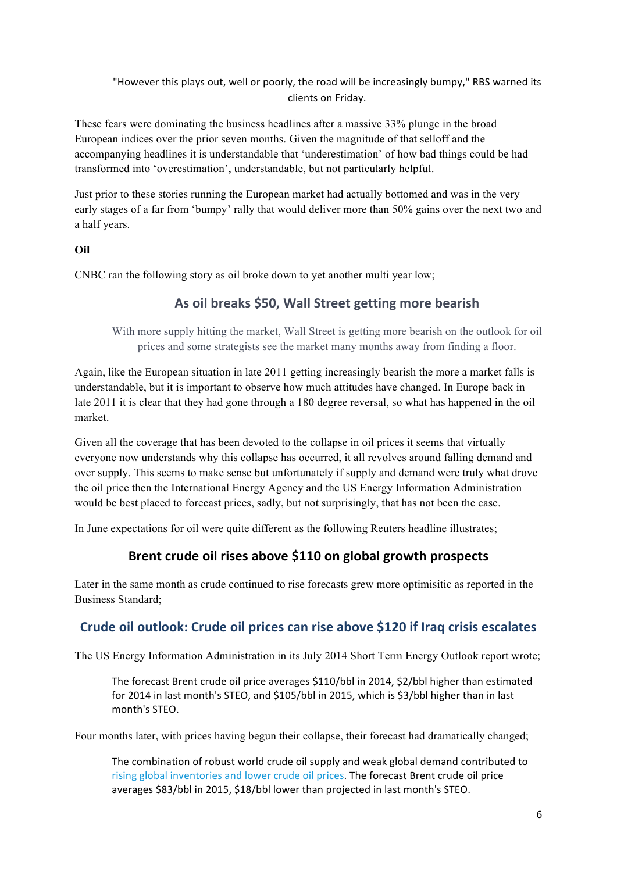"However this plays out, well or poorly, the road will be increasingly bumpy," RBS warned its clients on Friday.

These fears were dominating the business headlines after a massive 33% plunge in the broad European indices over the prior seven months. Given the magnitude of that selloff and the accompanying headlines it is understandable that 'underestimation' of how bad things could be had transformed into 'overestimation', understandable, but not particularly helpful.

Just prior to these stories running the European market had actually bottomed and was in the very early stages of a far from 'bumpy' rally that would deliver more than 50% gains over the next two and a half years.

## **Oil**

CNBC ran the following story as oil broke down to yet another multi year low;

# As oil breaks \$50, Wall Street getting more bearish

With more supply hitting the market, Wall Street is getting more bearish on the outlook for oil prices and some strategists see the market many months away from finding a floor.

Again, like the European situation in late 2011 getting increasingly bearish the more a market falls is understandable, but it is important to observe how much attitudes have changed. In Europe back in late 2011 it is clear that they had gone through a 180 degree reversal, so what has happened in the oil market.

Given all the coverage that has been devoted to the collapse in oil prices it seems that virtually everyone now understands why this collapse has occurred, it all revolves around falling demand and over supply. This seems to make sense but unfortunately if supply and demand were truly what drove the oil price then the International Energy Agency and the US Energy Information Administration would be best placed to forecast prices, sadly, but not surprisingly, that has not been the case.

In June expectations for oil were quite different as the following Reuters headline illustrates;

# Brent crude oil rises above \$110 on global growth prospects

Later in the same month as crude continued to rise forecasts grew more optimisitic as reported in the Business Standard;

# Crude oil outlook: Crude oil prices can rise above \$120 if Iraq crisis escalates

The US Energy Information Administration in its July 2014 Short Term Energy Outlook report wrote;

The forecast Brent crude oil price averages \$110/bbl in 2014, \$2/bbl higher than estimated for 2014 in last month's STEO, and \$105/bbl in 2015, which is \$3/bbl higher than in last month's STEO.

Four months later, with prices having begun their collapse, their forecast had dramatically changed;

The combination of robust world crude oil supply and weak global demand contributed to rising global inventories and lower crude oil prices. The forecast Brent crude oil price averages \$83/bbl in 2015, \$18/bbl lower than projected in last month's STEO.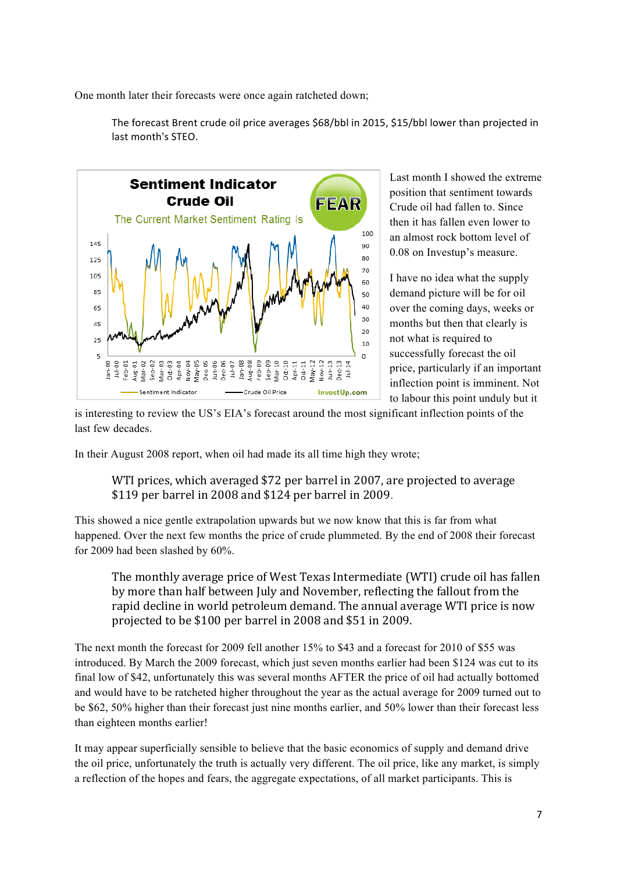One month later their forecasts were once again ratcheted down;



The forecast Brent crude oil price averages \$68/bbl in 2015, \$15/bbl lower than projected in last month's STEO.

> Last month I showed the extreme position that sentiment towards Crude oil had fallen to. Since then it has fallen even lower to an almost rock bottom level of 0.08 on Investup's measure.

> I have no idea what the supply demand picture will be for oil over the coming days, weeks or months but then that clearly is not what is required to successfully forecast the oil price, particularly if an important inflection point is imminent. Not to labour this point unduly but it

is interesting to review the US's EIA's forecast around the most significant inflection points of the last few decades.

In their August 2008 report, when oil had made its all time high they wrote;

WTI prices, which averaged \$72 per barrel in 2007, are projected to average  $$119$  per barrel in 2008 and  $$124$  per barrel in 2009.

This showed a nice gentle extrapolation upwards but we now know that this is far from what happened. Over the next few months the price of crude plummeted. By the end of 2008 their forecast for 2009 had been slashed by 60%.

The monthly average price of West Texas Intermediate (WTI) crude oil has fallen by more than half between July and November, reflecting the fallout from the rapid decline in world petroleum demand. The annual average WTI price is now projected to be \$100 per barrel in 2008 and \$51 in 2009.

The next month the forecast for 2009 fell another 15% to \$43 and a forecast for 2010 of \$55 was introduced. By March the 2009 forecast, which just seven months earlier had been \$124 was cut to its final low of \$42, unfortunately this was several months AFTER the price of oil had actually bottomed and would have to be ratcheted higher throughout the year as the actual average for 2009 turned out to be \$62, 50% higher than their forecast just nine months earlier, and 50% lower than their forecast less than eighteen months earlier!

It may appear superficially sensible to believe that the basic economics of supply and demand drive the oil price, unfortunately the truth is actually very different. The oil price, like any market, is simply a reflection of the hopes and fears, the aggregate expectations, of all market participants. This is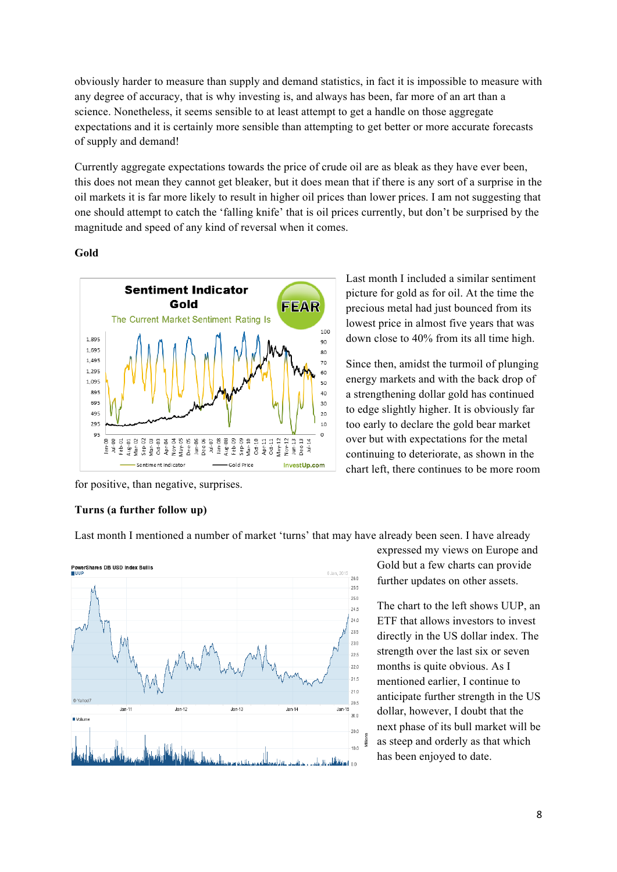obviously harder to measure than supply and demand statistics, in fact it is impossible to measure with any degree of accuracy, that is why investing is, and always has been, far more of an art than a science. Nonetheless, it seems sensible to at least attempt to get a handle on those aggregate expectations and it is certainly more sensible than attempting to get better or more accurate forecasts of supply and demand!

Currently aggregate expectations towards the price of crude oil are as bleak as they have ever been, this does not mean they cannot get bleaker, but it does mean that if there is any sort of a surprise in the oil markets it is far more likely to result in higher oil prices than lower prices. I am not suggesting that one should attempt to catch the 'falling knife' that is oil prices currently, but don't be surprised by the magnitude and speed of any kind of reversal when it comes.

### **Gold**



Last month I included a similar sentiment picture for gold as for oil. At the time the precious metal had just bounced from its lowest price in almost five years that was down close to 40% from its all time high.

Since then, amidst the turmoil of plunging energy markets and with the back drop of a strengthening dollar gold has continued to edge slightly higher. It is obviously far too early to declare the gold bear market over but with expectations for the metal continuing to deteriorate, as shown in the chart left, there continues to be more room

for positive, than negative, surprises.

### **Turns (a further follow up)**

Last month I mentioned a number of market 'turns' that may have already been seen. I have already



expressed my views on Europe and Gold but a few charts can provide further updates on other assets.

The chart to the left shows UUP, an ETF that allows investors to invest directly in the US dollar index. The strength over the last six or seven months is quite obvious. As I mentioned earlier, I continue to anticipate further strength in the US dollar, however, I doubt that the next phase of its bull market will be as steep and orderly as that which has been enjoyed to date.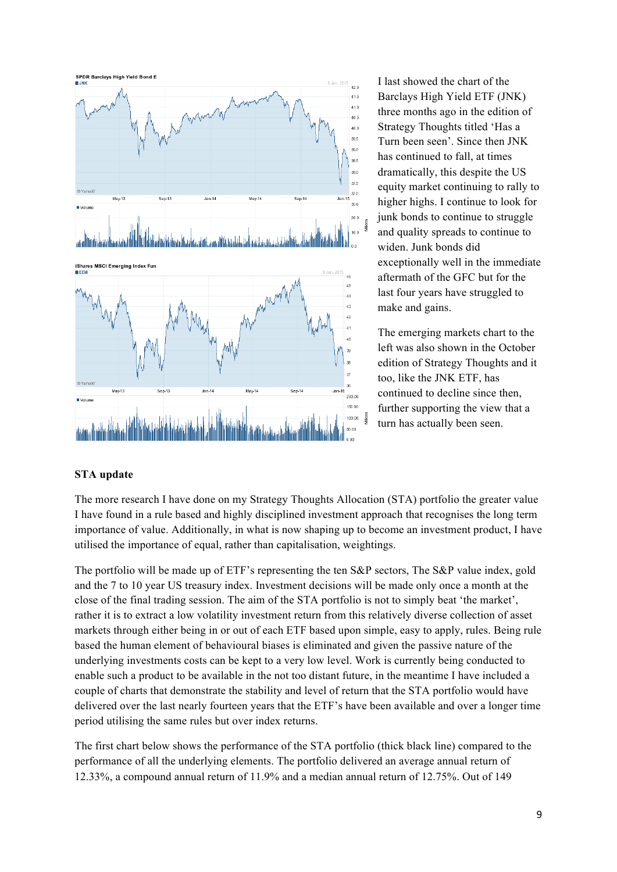

I last showed the chart of the Barclays High Yield ETF (JNK) three months ago in the edition of Strategy Thoughts titled 'Has a Turn been seen'. Since then JNK has continued to fall, at times dramatically, this despite the US equity market continuing to rally to higher highs. I continue to look for junk bonds to continue to struggle and quality spreads to continue to widen. Junk bonds did exceptionally well in the immediate aftermath of the GFC but for the last four years have struggled to make and gains.

The emerging markets chart to the left was also shown in the October edition of Strategy Thoughts and it too, like the JNK ETF, has continued to decline since then, further supporting the view that a turn has actually been seen.

### **STA update**

The more research I have done on my Strategy Thoughts Allocation (STA) portfolio the greater value I have found in a rule based and highly disciplined investment approach that recognises the long term importance of value. Additionally, in what is now shaping up to become an investment product, I have utilised the importance of equal, rather than capitalisation, weightings.

The portfolio will be made up of ETF's representing the ten S&P sectors, The S&P value index, gold and the 7 to 10 year US treasury index. Investment decisions will be made only once a month at the close of the final trading session. The aim of the STA portfolio is not to simply beat 'the market', rather it is to extract a low volatility investment return from this relatively diverse collection of asset markets through either being in or out of each ETF based upon simple, easy to apply, rules. Being rule based the human element of behavioural biases is eliminated and given the passive nature of the underlying investments costs can be kept to a very low level. Work is currently being conducted to enable such a product to be available in the not too distant future, in the meantime I have included a couple of charts that demonstrate the stability and level of return that the STA portfolio would have delivered over the last nearly fourteen years that the ETF's have been available and over a longer time period utilising the same rules but over index returns.

The first chart below shows the performance of the STA portfolio (thick black line) compared to the performance of all the underlying elements. The portfolio delivered an average annual return of 12.33%, a compound annual return of 11.9% and a median annual return of 12.75%. Out of 149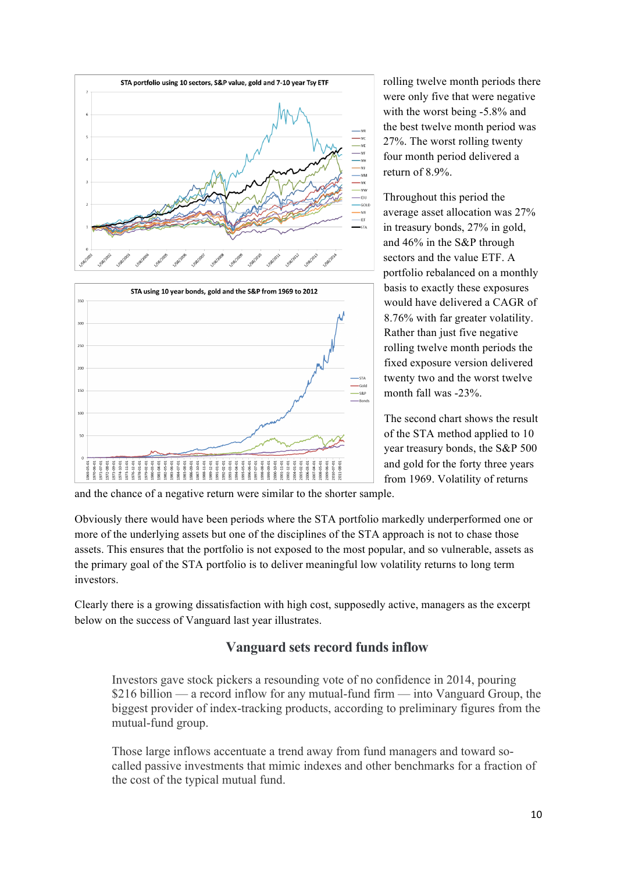

rolling twelve month periods there were only five that were negative with the worst being -5.8% and the best twelve month period was 27%. The worst rolling twenty four month period delivered a return of 8.9%.

Throughout this period the average asset allocation was 27% in treasury bonds, 27% in gold, and 46% in the S&P through sectors and the value ETF. A portfolio rebalanced on a monthly basis to exactly these exposures would have delivered a CAGR of 8.76% with far greater volatility. Rather than just five negative rolling twelve month periods the fixed exposure version delivered twenty two and the worst twelve month fall was -23%.

The second chart shows the result of the STA method applied to 10 year treasury bonds, the S&P 500 and gold for the forty three years from 1969. Volatility of returns

and the chance of a negative return were similar to the shorter sample.

Obviously there would have been periods where the STA portfolio markedly underperformed one or more of the underlying assets but one of the disciplines of the STA approach is not to chase those assets. This ensures that the portfolio is not exposed to the most popular, and so vulnerable, assets as the primary goal of the STA portfolio is to deliver meaningful low volatility returns to long term investors.

Clearly there is a growing dissatisfaction with high cost, supposedly active, managers as the excerpt below on the success of Vanguard last year illustrates.

# **Vanguard sets record funds inflow**

Investors gave stock pickers a resounding vote of no confidence in 2014, pouring \$216 billion — a record inflow for any mutual-fund firm — into Vanguard Group, the biggest provider of index-tracking products, according to preliminary figures from the mutual-fund group.

Those large inflows accentuate a trend away from fund managers and toward socalled passive investments that mimic indexes and other benchmarks for a fraction of the cost of the typical mutual fund.